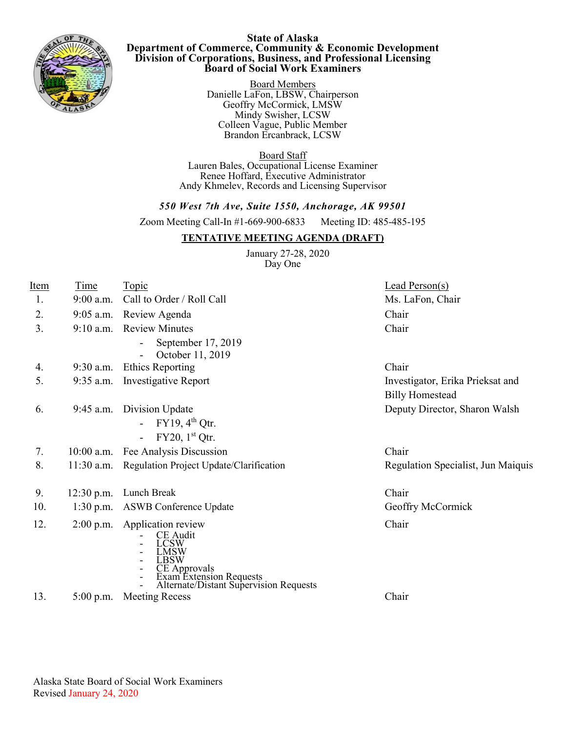

## **State of Alaska Department of Commerce, Community & Economic Development Division of Corporations, Business, and Professional Licensing Board of Social Work Examiners**

Board Members Danielle LaFon, LBSW, Chairperson Geoffry McCormick, LMSW Mindy Swisher, LCSW Colleen Vague, Public Member Brandon Ercanbrack, LCSW.

Board Staff Lauren Bales, Occupational License Examiner Renee Hoffard, Executive Administrator Andy Khmelev, Records and Licensing Supervisor

# *550 West 7th Ave, Suite 1550, Anchorage, AK 99501*

Zoom Meeting Call-In #1-669-900-6833 Meeting ID: 485-485-195

# **TENTATIVE MEETING AGENDA (DRAFT)**

 January 27-28, 2020 Day One

| Item | <u>Time</u>  | <b>Topic</b>                                                                                                                                                        | Lead Person(s)                     |
|------|--------------|---------------------------------------------------------------------------------------------------------------------------------------------------------------------|------------------------------------|
| 1.   | $9:00$ a.m.  | Call to Order / Roll Call                                                                                                                                           | Ms. LaFon, Chair                   |
| 2.   |              | 9:05 a.m. Review Agenda                                                                                                                                             | Chair                              |
| 3.   |              | 9:10 a.m. Review Minutes                                                                                                                                            | Chair                              |
|      |              | September 17, 2019<br>October 11, 2019                                                                                                                              |                                    |
| 4.   | $9:30$ a.m.  | <b>Ethics Reporting</b>                                                                                                                                             | Chair                              |
| 5.   | $9:35$ a.m.  | <b>Investigative Report</b>                                                                                                                                         | Investigator, Erika Prieksat and   |
|      |              |                                                                                                                                                                     | <b>Billy Homestead</b>             |
| 6.   |              | 9:45 a.m. Division Update                                                                                                                                           | Deputy Director, Sharon Walsh      |
|      |              | $FY19, 4th$ Otr.                                                                                                                                                    |                                    |
|      |              | $FY20$ , $1st Qtr$ .                                                                                                                                                |                                    |
| 7.   | $10:00$ a.m. | Fee Analysis Discussion                                                                                                                                             | Chair                              |
| 8.   | $11:30$ a.m. | Regulation Project Update/Clarification                                                                                                                             | Regulation Specialist, Jun Maiquis |
| 9.   | $12:30$ p.m. | Lunch Break                                                                                                                                                         | Chair                              |
| 10.  | $1:30$ p.m.  | ASWB Conference Update                                                                                                                                              | Geoffry McCormick                  |
| 12.  |              | 2:00 p.m. Application review<br><b>CE</b> Audit<br><b>LCSW</b><br>LMSW<br>LBSW<br>CE Approvals<br>Exam Extension Requests<br>Alternate/Distant Supervision Requests | Chair                              |
| 13.  | $5:00$ p.m.  | <b>Meeting Recess</b>                                                                                                                                               | Chair                              |